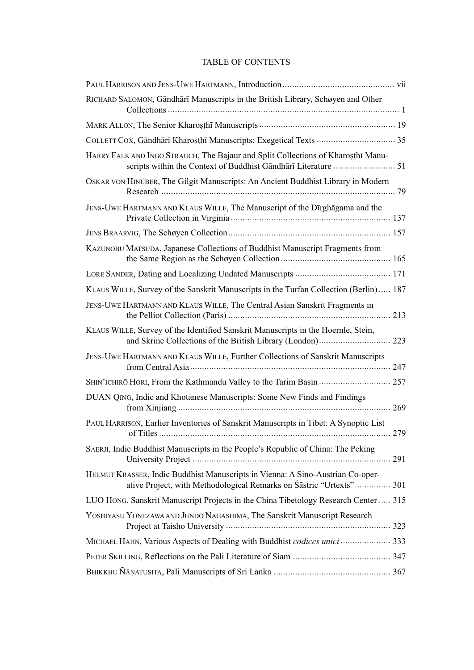## TABLE OF CONTENTS

| RICHARD SALOMON, Gāndhārī Manuscripts in the British Library, Schøyen and Other                                                                       |
|-------------------------------------------------------------------------------------------------------------------------------------------------------|
|                                                                                                                                                       |
|                                                                                                                                                       |
| HARRY FALK AND INGO STRAUCH, The Bajaur and Split Collections of Kharosthi Manu-                                                                      |
| OSKAR VON HINÜBER, The Gilgit Manuscripts: An Ancient Buddhist Library in Modern                                                                      |
| JENS-UWE HARTMANN AND KLAUS WILLE, The Manuscript of the Dīrghāgama and the                                                                           |
|                                                                                                                                                       |
| KAZUNOBU MATSUDA, Japanese Collections of Buddhist Manuscript Fragments from                                                                          |
|                                                                                                                                                       |
| KLAUS WILLE, Survey of the Sanskrit Manuscripts in the Turfan Collection (Berlin) 187                                                                 |
| JENS-UWE HARTMANN AND KLAUS WILLE, The Central Asian Sanskrit Fragments in                                                                            |
| KLAUS WILLE, Survey of the Identified Sanskrit Manuscripts in the Hoernle, Stein,<br>and Skrine Collections of the British Library (London) 223       |
| JENS-UWE HARTMANN AND KLAUS WILLE, Further Collections of Sanskrit Manuscripts                                                                        |
| SHIN'ICHIRŌ HORI, From the Kathmandu Valley to the Tarim Basin  257                                                                                   |
| DUAN QING, Indic and Khotanese Manuscripts: Some New Finds and Findings                                                                               |
| PAUL HARRISON, Earlier Inventories of Sanskrit Manuscripts in Tibet: A Synoptic List<br>279                                                           |
| SAERJI, Indic Buddhist Manuscripts in the People's Republic of China: The Peking                                                                      |
| HELMUT KRASSER, Indic Buddhist Manuscripts in Vienna: A Sino-Austrian Co-oper-<br>ative Project, with Methodological Remarks on Śāstric "Urtexts" 301 |
| LUO Hong, Sanskrit Manuscript Projects in the China Tibetology Research Center  315                                                                   |
| YOSHIYASU YONEZAWA AND JUNDŌ NAGASHIMA, The Sanskrit Manuscript Research                                                                              |
| MICHAEL HAHN, Various Aspects of Dealing with Buddhist codices unici  333                                                                             |
|                                                                                                                                                       |
|                                                                                                                                                       |